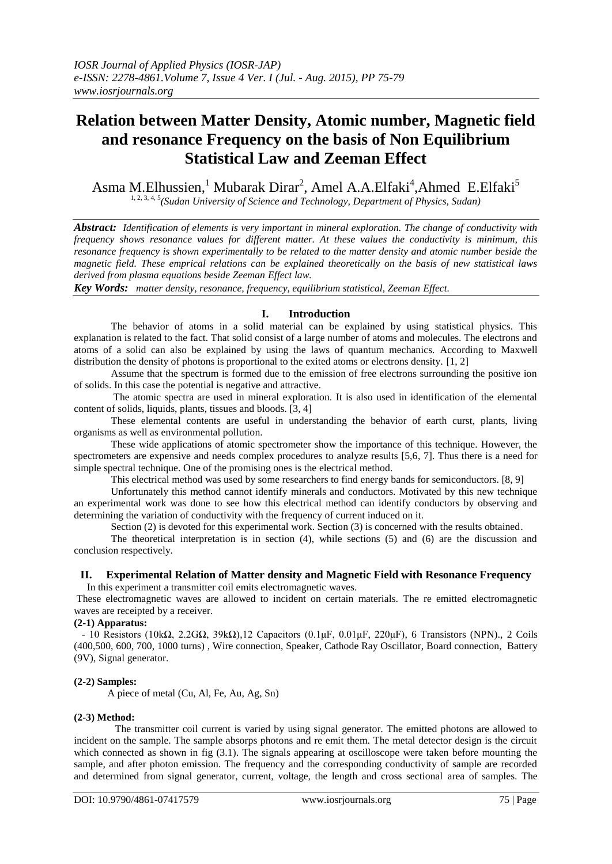# **Relation between Matter Density, Atomic number, Magnetic field and resonance Frequency on the basis of Non Equilibrium Statistical Law and Zeeman Effect**

Asma M.Elhussien,<sup>1</sup> Mubarak Dirar<sup>2</sup>, Amel A.A.Elfaki<sup>4</sup>, Ahmed E.Elfaki<sup>5</sup> 1, 2, 3, 4, 5*(Sudan University of Science and Technology, Department of Physics, Sudan)*

*Abstract: Identification of elements is very important in mineral exploration. The change of conductivity with frequency shows resonance values for different matter. At these values the conductivity is minimum, this resonance frequency is shown experimentally to be related to the matter density and atomic number beside the magnetic field. These emprical relations can be explained theoretically on the basis of new statistical laws derived from plasma equations beside Zeeman Effect law.* 

*Key Words: matter density, resonance, frequency, equilibrium statistical, Zeeman Effect.*

# **I. Introduction**

The behavior of atoms in a solid material can be explained by using statistical physics. This explanation is related to the fact. That solid consist of a large number of atoms and molecules. The electrons and atoms of a solid can also be explained by using the laws of quantum mechanics. According to Maxwell distribution the density of photons is proportional to the exited atoms or electrons density. [1, 2]

Assume that the spectrum is formed due to the emission of free electrons surrounding the positive ion of solids. In this case the potential is negative and attractive.

The atomic spectra are used in mineral exploration. It is also used in identification of the elemental content of solids, liquids, plants, tissues and bloods. [3, 4]

These elemental contents are useful in understanding the behavior of earth curst, plants, living organisms as well as environmental pollution.

These wide applications of atomic spectrometer show the importance of this technique. However, the spectrometers are expensive and needs complex procedures to analyze results [5,6, 7]. Thus there is a need for simple spectral technique. One of the promising ones is the electrical method.

This electrical method was used by some researchers to find energy bands for semiconductors. [8, 9]

Unfortunately this method cannot identify minerals and conductors. Motivated by this new technique an experimental work was done to see how this electrical method can identify conductors by observing and determining the variation of conductivity with the frequency of current induced on it.

Section (2) is devoted for this experimental work. Section (3) is concerned with the results obtained.

The theoretical interpretation is in section (4), while sections (5) and (6) are the discussion and conclusion respectively.

#### **II. Experimental Relation of Matter density and Magnetic Field with Resonance Frequency** In this experiment a transmitter coil emits electromagnetic waves.

These electromagnetic waves are allowed to incident on certain materials. The re emitted electromagnetic waves are receipted by a receiver.

# **(2-1) Apparatus:**

 - 10 Resistors (10kΩ, 2.2GΩ, 39kΩ),12 Capacitors (0.1μF, 0.01μF, 220μF), 6 Transistors (NPN)., 2 Coils (400,500, 600, 700, 1000 turns) , Wire connection, Speaker, Cathode Ray Oscillator, Board connection, Battery (9V), Signal generator.

## **(2-2) Samples:**

A piece of metal (Cu, Al, Fe, Au, Ag, Sn)

## **(2-3) Method:**

 The transmitter coil current is varied by using signal generator. The emitted photons are allowed to incident on the sample. The sample absorps photons and re emit them. The metal detector design is the circuit which connected as shown in fig (3.1). The signals appearing at oscilloscope were taken before mounting the sample, and after photon emission. The frequency and the corresponding conductivity of sample are recorded and determined from signal generator, current, voltage, the length and cross sectional area of samples. The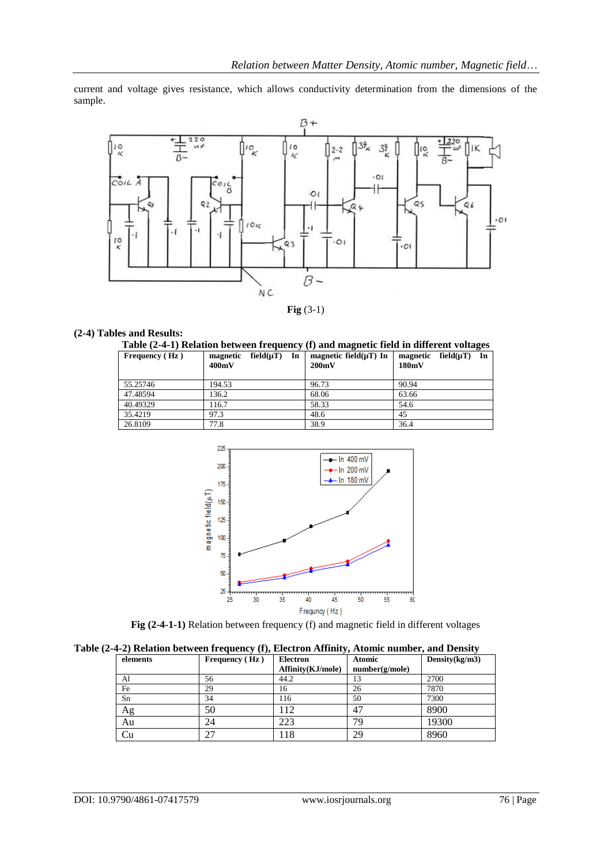current and voltage gives resistance, which allows conductivity determination from the dimensions of the sample.



**Fig** (3-1)

# **(2-4) Tables and Results:**

| Table (2-4-1) Relation between frequency (f) and magnetic field in different voltages |  |
|---------------------------------------------------------------------------------------|--|
|                                                                                       |  |

| Frequency (Hz) | field $(\mu T)$<br>In<br>magnetic<br>400mV | magnetic field $(\mu T)$ In<br>200mV | magnetic field $(\mu T)$<br>In<br>180mV |
|----------------|--------------------------------------------|--------------------------------------|-----------------------------------------|
| 55.25746       | 194.53                                     | 96.73                                | 90.94                                   |
| 47.48594       | 136.2                                      | 68.06                                | 63.66                                   |
| 40.49329       | 116.7                                      | 58.33                                | 54.6                                    |
| 35.4219        | 97.3                                       | 48.6                                 | 45                                      |
| 26.8109        | 77.8                                       | 38.9                                 | 36.4                                    |



**Fig (2-4-1-1)** Relation between frequency (f) and magnetic field in different voltages

|  |  |  |  |  | Table (2-4-2) Relation between frequency (f), Electron Affinity, Atomic number, and Density |  |
|--|--|--|--|--|---------------------------------------------------------------------------------------------|--|
|  |  |  |  |  |                                                                                             |  |

| elements | Frequency $(Hz)$ | <b>Electron</b>   | <b>Atomic</b>  | Density $(kg/m3)$ |
|----------|------------------|-------------------|----------------|-------------------|
|          |                  | Affinity(KJ/mole) | number(g/mole) |                   |
| Al       | 56               | 44.2              | 13             | 2700              |
| Fe       | 29               | 16                | 26             | 7870              |
| Sn       | 34               | 116               | 50             | 7300              |
| Ag       | 50               | 12                | 47             | 8900              |
| Au       | 24               | 223               | 79             | 19300             |
| Cu       | 27               | 18                | 29             | 8960              |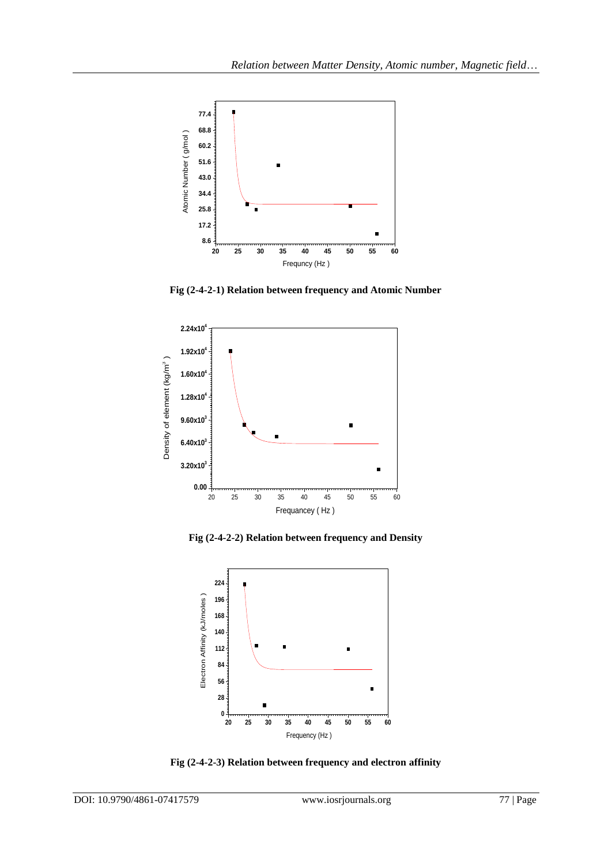

**Fig (2-4-2-1) Relation between frequency and Atomic Number**



**Fig (2-4-2-2) Relation between frequency and Density**



**Fig (2-4-2-3) Relation between frequency and electron affinity**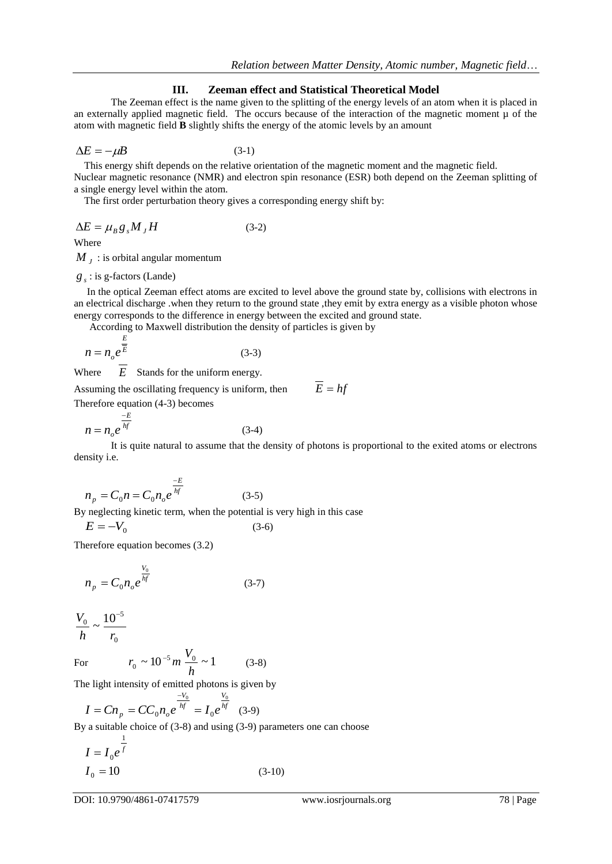## **III. Zeeman effect and Statistical Theoretical Model**

 The Zeeman effect is the name given to the splitting of the energy levels of an atom when it is placed in an externally applied magnetic field. The occurs because of the interaction of the magnetic moment  $\mu$  of the atom with magnetic field **B** slightly shifts the energy of the atomic levels by an amount

$$
\Delta E = -\mu B \tag{3-1}
$$

This energy shift depends on the relative orientation of the magnetic moment and the magnetic field.

Nuclear magnetic resonance (NMR) and electron spin resonance (ESR) both depend on the Zeeman splitting of a single energy level within the atom.

The first order perturbation theory gives a corresponding energy shift by:

$$
\Delta E = \mu_B g_s M_J H \tag{3-2}
$$

Where

 $M_{J}$  : is orbital angular momentum

$$
g_s
$$
: is g-factors (Lande)

 In the optical Zeeman effect atoms are excited to level above the ground state by, collisions with electrons in an electrical discharge .when they return to the ground state ,they emit by extra energy as a visible photon whose energy corresponds to the difference in energy between the excited and ground state.

According to Maxwell distribution the density of particles is given by

$$
n = n_o e^{\frac{E}{E}}
$$
 (3-3)

**Where** *E* Stands for the uniform energy.

Assuming the oscillating frequency is uniform, then  $\overline{E} = hf$ 

Therefore equation (4-3) becomes

$$
n = n_o e^{\frac{-E}{hf}}
$$
 (3-4)

It is quite natural to assume that the density of photons is proportional to the exited atoms or electrons density i.e.

$$
n_p = C_0 n = C_0 n_o e^{\frac{-E}{hf}}
$$
 (3-5)

By neglecting kinetic term, when the potential is very high in this case

(3-6)

$$
E = -V_0
$$

Therefore equation becomes (3.2)

$$
n_p = C_0 n_o e^{\frac{V_0}{hf}}
$$
 (3-7)

$$
\frac{V_0}{h} \sim \frac{10^{-5}}{r_0}
$$

For  $r_0 \sim 10^{-5} m$  $\frac{1}{0} \sim 10^{-5} m \frac{V_0}{I} \sim 1$ *h V* (3-8)

The light intensity of emitted photons is given by

$$
I = C n_p = C C_0 n_o e^{\frac{-V_0}{hf}} = I_0 e^{\frac{V_0}{hf}} \quad (3-9)
$$

By a suitable choice of (3-8) and using (3-9) parameters one can choose

$$
I = I_0 e^{\frac{1}{f}}
$$
  
\n
$$
I_0 = 10
$$
 (3-10)

DOI: 10.9790/4861-07417579 www.iosrjournals.org 78 | Page